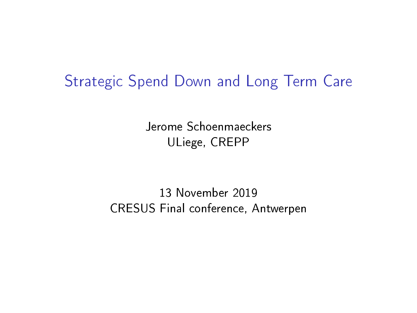### Strategic Spend Down and Long Term Care

Jerome Schoenmaeckers ULiege, CREPP

13 November 2019 CRESUS Final conference, Antwerpen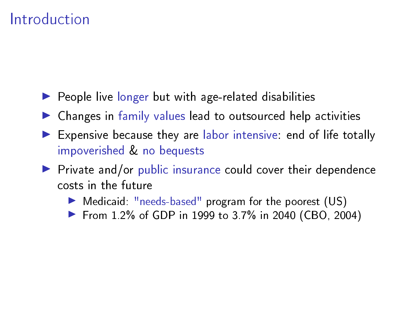- $\blacktriangleright$  People live longer but with age-related disabilities
- $\blacktriangleright$  Changes in family values lead to outsourced help activities
- $\blacktriangleright$  Expensive because they are labor intensive: end of life totally impoverished & no bequests
- $\triangleright$  Private and/or public insurance could cover their dependence costs in the future
	- In Medicaid: "needs-based" program for the poorest (US)
	- ▶ From 1.2% of GDP in 1999 to 3.7% in 2040 (CBO, 2004)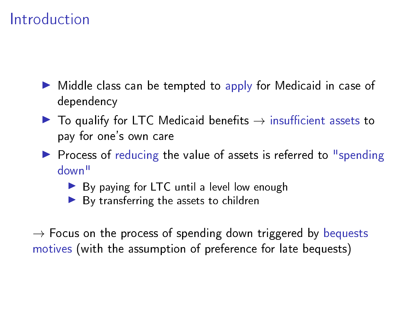- $\triangleright$  Middle class can be tempted to apply for Medicaid in case of dependency
- $\blacktriangleright$  To qualify for LTC Medicaid benefits  $\rightarrow$  insufficient assets to pay for one's own care
- $\triangleright$  Process of reducing the value of assets is referred to "spending down"
	- $\triangleright$  By paying for LTC until a level low enough
	- $\blacktriangleright$  By transferring the assets to children

 $\rightarrow$  Focus on the process of spending down triggered by bequests motives (with the assumption of preference for late bequests)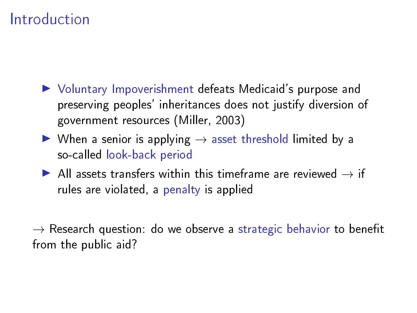- ▶ Voluntary Impoverishment defeats Medicaid's purpose and preserving peoples' inheritances does not justify diversion of government resources (Miller, 2003)
- $\triangleright$  When a senior is applying  $\rightarrow$  asset threshold limited by a so-called look-back period
- All assets transfers within this timeframe are reviewed  $\rightarrow$  if rules are violated, a penalty is applied

 $\rightarrow$  Research question: do we observe a strategic behavior to benefit from the public aid?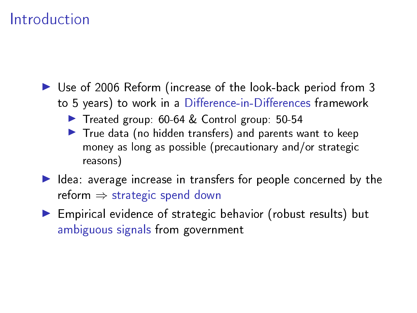- ▶ Use of 2006 Reform (increase of the look-back period from 3 to 5 years) to work in a Difference-in-Differences framework
	- ▶ Treated group: 60-64 & Control group: 50-54
	- $\blacktriangleright$  True data (no hidden transfers) and parents want to keep money as long as possible (precautionary and/or strategic reasons)
- $\blacktriangleright$  Idea: average increase in transfers for people concerned by the reform  $\Rightarrow$  strategic spend down
- **Empirical evidence of strategic behavior (robust results) but** ambiguous signals from government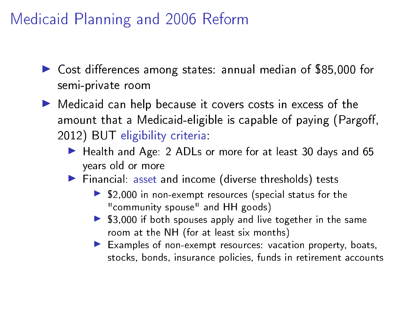- $\triangleright$  Cost differences among states: annual median of \$85,000 for semi-private room
- $\blacktriangleright$  Medicaid can help because it covers costs in excess of the amount that a Medicaid-eligible is capable of paying (Pargoff, 2012) BUT eligibility criteria:
	- ▶ Health and Age: 2 ADLs or more for at least 30 days and 65 years old or more
	- $\blacktriangleright$  Financial: asset and income (diverse thresholds) tests
		- $\blacktriangleright$  \$2,000 in non-exempt resources (special status for the "community spouse" and HH goods)
		- $\triangleright$  \$3,000 if both spouses apply and live together in the same room at the NH (for at least six months)
		- $\blacktriangleright$  Examples of non-exempt resources: vacation property, boats, stocks, bonds, insurance policies, funds in retirement accounts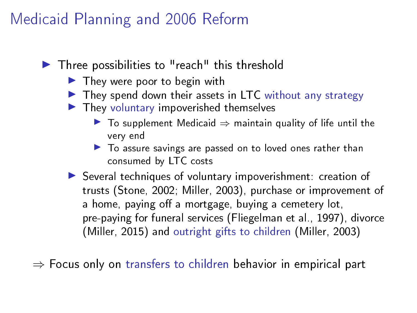- $\blacktriangleright$  Three possibilities to "reach" this threshold
	- $\blacktriangleright$  They were poor to begin with
	- $\blacktriangleright$  They spend down their assets in LTC without any strategy
	- $\blacktriangleright$  They voluntary impoverished themselves
		- $\triangleright$  To supplement Medicaid  $\Rightarrow$  maintain quality of life until the very end
		- $\blacktriangleright$  To assure savings are passed on to loved ones rather than consumed by LTC costs
	- $\triangleright$  Several techniques of voluntary impoverishment: creation of trusts (Stone, 2002; Miller, 2003), purchase or improvement of a home, paying off a mortgage, buying a cemetery lot, pre-paying for funeral services (Fliegelman et al., 1997), divorce (Miller, 2015) and outright gifts to children (Miller, 2003)

 $\Rightarrow$  Focus only on transfers to children behavior in empirical part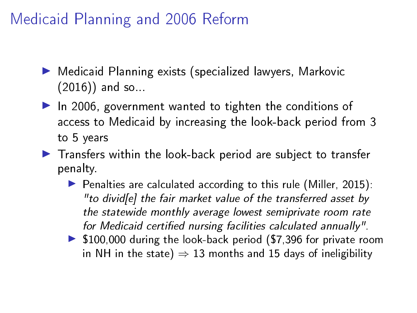- ▶ Medicaid Planning exists (specialized lawyers, Markovic (2016)) and so...
- $\blacktriangleright$  In 2006, government wanted to tighten the conditions of access to Medicaid by increasing the look-back period from 3 to 5 years
- $\blacktriangleright$  Transfers within the look-back period are subject to transfer penalty.
	- $\triangleright$  Penalties are calculated according to this rule (Miller, 2015): "to divid[e] the fair market value of the transferred asset by the statewide monthly average lowest semiprivate room rate for Medicaid certified nursing facilities calculated annually".
	- $\triangleright$  \$100,000 during the look-back period (\$7,396 for private room in NH in the state)  $\Rightarrow$  13 months and 15 days of ineligibility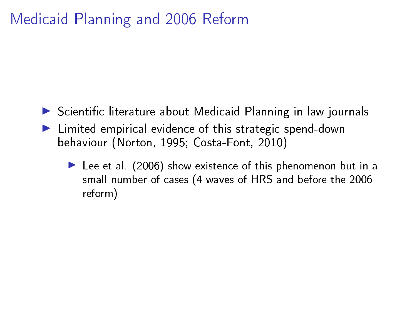- $\triangleright$  Scientific literature about Medicaid Planning in law journals
- $\blacktriangleright$  Limited empirical evidence of this strategic spend-down behaviour (Norton, 1995; Costa-Font, 2010)
	- $\blacktriangleright$  Lee et al. (2006) show existence of this phenomenon but in a small number of cases (4 waves of HRS and before the 2006 reform)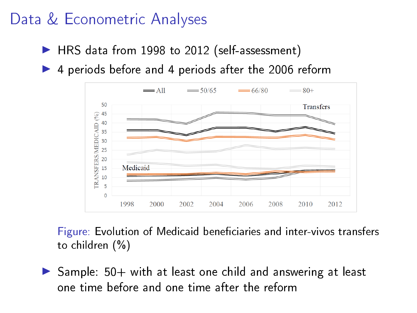- ▶ HRS data from 1998 to 2012 (self-assessment)
- $\blacktriangleright$  4 periods before and 4 periods after the 2006 reform



Figure: Evolution of Medicaid beneficiaries and inter-vivos transfers to children (%)

 $\triangleright$  Sample: 50+ with at least one child and answering at least one time before and one time after the reform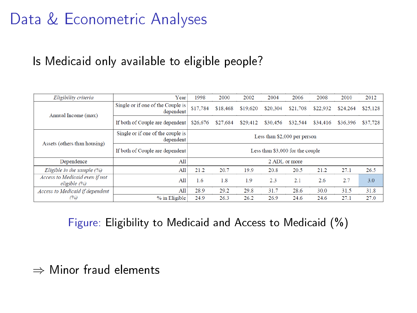### Is Medicaid only available to eligible people?

| Eligibility criteria                           | Year                                           | 1998                             | 2000     | 2002     | 2004          | 2006     | 2008     | 2010     | 2012     |  |
|------------------------------------------------|------------------------------------------------|----------------------------------|----------|----------|---------------|----------|----------|----------|----------|--|
| Annual Income (max)                            | Single or if one of the Couple is<br>dependent | \$17.784                         | \$18,468 | \$19,620 | \$20.304      | \$21.708 | \$22.932 | \$24.264 | \$25,128 |  |
|                                                | If both of Couple are dependent                | \$26.676                         | \$27.684 | \$29,412 | \$30,456      | \$32.544 | \$34,416 | \$36,396 | \$37.728 |  |
|                                                | Single or if one of the couple is<br>dependent | Less than \$2,000 per person     |          |          |               |          |          |          |          |  |
| Assets (others than housing)                   | If both of Couple are dependent                | Less than \$3,000 for the couple |          |          |               |          |          |          |          |  |
| Dependence                                     | All                                            |                                  |          |          | 2 ADL or more |          |          |          |          |  |
| Eligible in the sample $(%)$                   | All                                            | 21.2                             | 20.7     | 19.9     | 20.8          | 20.5     | 21.2     | 27.1     | 26.5     |  |
| Access to Medicaid even if not<br>eligible (%) | All                                            | 1.6                              | 1.8      | 1.9      | 2.3           | 2.1      | 2.6      | 2.7      | 3.0      |  |
| Access to Medicaid if dependent                | A11                                            | 28.9                             | 29.2     | 29.8     | 31.7          | 28.6     | 30.0     | 31.5     | 31.8     |  |
|                                                |                                                |                                  |          |          |               |          |          | 27.1     | 27.0     |  |

Figure: Eligibility to Medicaid and Access to Medicaid (%)

#### ⇒ Minor fraud elements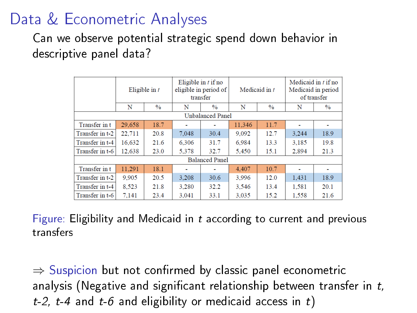Can we observe potential strategic spend down behavior in descriptive panel data?

|                 |        | Eligible in $t$ |       | Eligible in $t$ if no<br>eligible in period of<br>transfer |        | Medicaid in $t$ |       | Medicaid in $t$ if no<br>Medicaid in period<br>of transfer |
|-----------------|--------|-----------------|-------|------------------------------------------------------------|--------|-----------------|-------|------------------------------------------------------------|
|                 | N      | $\frac{0}{0}$   | N     | $\frac{0}{0}$                                              | N      | $\frac{0}{0}$   | N     | $\frac{0}{0}$                                              |
|                 |        |                 |       | <b>Unbalanced Panel</b>                                    |        |                 |       |                                                            |
| Transfer in t   | 29,658 | 18.7            |       |                                                            | 11.346 | 11.7            |       |                                                            |
| Transfer in t-2 | 22,711 | 20.8            | 7,048 | 30.4                                                       | 9,092  | 12.7            | 3.244 | 18.9                                                       |
| Transfer in t-4 | 16,632 | 21.6            | 6.306 | 31.7                                                       | 6.984  | 13.3            | 3.185 | 19.8                                                       |
| Transfer in t-6 | 12.638 | 23.0            | 5.378 | 32.7                                                       | 5.450  | 15.1            | 2.894 | 21.3                                                       |
|                 |        |                 |       | <b>Balanced Panel</b>                                      |        |                 |       |                                                            |
| Transfer in t   | 11.291 | 18.1            |       |                                                            | 4.407  | 10.7            |       |                                                            |
| Transfer in t-2 | 9,905  | 20.5            | 3.208 | 30.6                                                       | 3.996  | 12.0            | 1.431 | 18.9                                                       |
| Transfer in t-4 | 8.523  | 21.8            | 3.280 | 32.2                                                       | 3.546  | 13.4            | 1.581 | 20.1                                                       |
| Transfer in t-6 | 7.141  | 23.4            | 3.041 | 33.1                                                       | 3.035  | 15.2            | 1.558 | 21.6                                                       |

Figure: Eligibility and Medicaid in t according to current and previous transfers

 $\Rightarrow$  Suspicion but not confirmed by classic panel econometric analysis (Negative and significant relationship between transfer in  $t$ , t-2, t-4 and t-6 and eligibility or medicaid access in t)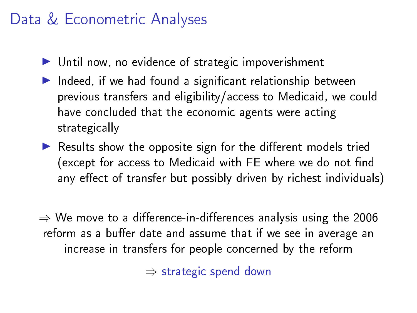- $\blacktriangleright$  Until now, no evidence of strategic impoverishment
- $\blacktriangleright$  Indeed, if we had found a significant relationship between previous transfers and eligibility/access to Medicaid, we could have concluded that the economic agents were acting strategically
- $\blacktriangleright$  Results show the opposite sign for the different models tried (except for access to Medicaid with FE where we do not find any effect of transfer but possibly driven by richest individuals)

 $\Rightarrow$  We move to a difference-in-differences analysis using the 2006 reform as a buffer date and assume that if we see in average an increase in transfers for people concerned by the reform

⇒ strategic spend down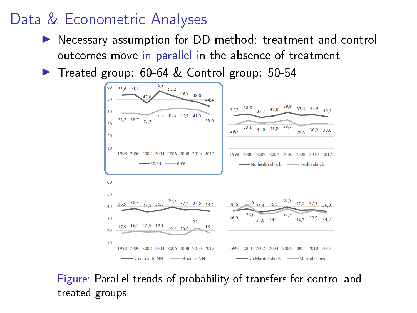- ▶ Necessary assumption for DD method: treatment and control outcomes move in parallel in the absence of treatment
- ▶ Treated group: 60-64 & Control group: 50-54



Figure: Parallel trends of probability of transfers for control and treated groups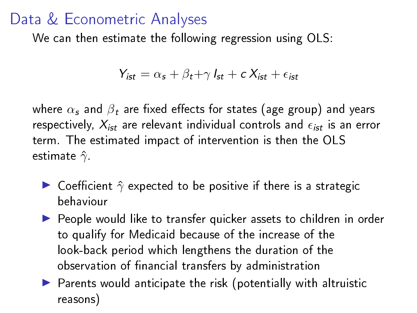We can then estimate the following regression using OLS:

$$
Y_{\text{ist}} = \alpha_{\text{s}} + \beta_{\text{t}} + \gamma I_{\text{st}} + c X_{\text{ist}} + \epsilon_{\text{ist}}
$$

where  $\alpha_s$  and  $\beta_t$  are fixed effects for states (age group) and years respectively,  $X_{ist}$  are relevant individual controls and  $\epsilon_{ist}$  is an error term. The estimated impact of intervention is then the OLS estimate  $\hat{\gamma}$ .

- $\triangleright$  Coefficient  $\hat{\gamma}$  expected to be positive if there is a strategic behaviour
- $\blacktriangleright$  People would like to transfer quicker assets to children in order to qualify for Medicaid because of the increase of the look-back period which lengthens the duration of the observation of financial transfers by administration
- $\blacktriangleright$  Parents would anticipate the risk (potentially with altruistic reasons)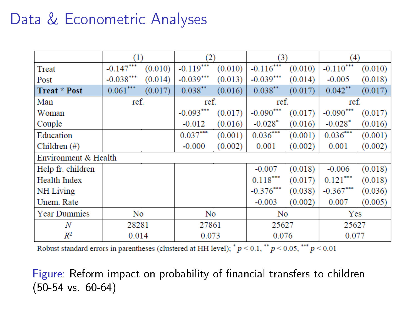|                      | (1)          |         | (2)         |         | (3)         |         | (4)         |         |
|----------------------|--------------|---------|-------------|---------|-------------|---------|-------------|---------|
| Treat                | $-0.147$ *** | (0.010) | $-0.119***$ | (0.010) | $-0.116***$ | (0.010) | $-0.110***$ | (0.010) |
| Post                 | $-0.038***$  | (0.014) | $-0.039***$ | (0.013) | $-0.039***$ | (0.014) | $-0.005$    | (0.018) |
| <b>Treat * Post</b>  | $0.061***$   | (0.017) | $0.038***$  | (0.016) | $0.038***$  | (0.017) | $0.042$ **  | (0.017) |
| Man                  | ref.         |         | ref.        |         | ref.        |         | ref.        |         |
| Woman                |              |         | $-0.093***$ | (0.017) | $-0.090***$ | (0.017) | $-0.090***$ | (0.017) |
| Couple               |              |         | $-0.012$    | (0.016) | $-0.028*$   | (0.016) | $-0.028*$   | (0.016) |
| Education            |              |         | $0.037***$  | (0.001) | $0.036***$  | (0.001) | $0.036***$  | (0.001) |
| Children $(\#)$      |              |         | $-0.000$    | (0.002) | 0.001       | (0.002) | 0.001       | (0.002) |
| Environment & Health |              |         |             |         |             |         |             |         |
| Help fr. children    |              |         |             |         | $-0.007$    | (0.018) | $-0.006$    | (0.018) |
| <b>Health Index</b>  |              |         |             |         | $0.118***$  | (0.017) | $0.121***$  | (0.018) |
| NH Living            |              |         |             |         | $-0.376***$ | (0.038) | $-0.367***$ | (0.036) |
| Unem. Rate           |              |         |             |         | $-0.003$    | (0.002) | 0.007       | (0.005) |
| <b>Year Dummies</b>  | No           |         | No          |         | No          |         | Yes         |         |
| N                    | 28281        |         | 27861       |         | 25627       |         | 25627       |         |
| $R^2$                | 0.014        |         | 0.073       |         | 0.076       |         | 0.077       |         |

Robust standard errors in parentheses (clustered at HH level);  $^*p < 0.1$ ,  $^*p < 0.05$ ,  $^{***}p < 0.01$ 

Figure: Reform impact on probability of financial transfers to children (50-54 vs. 60-64)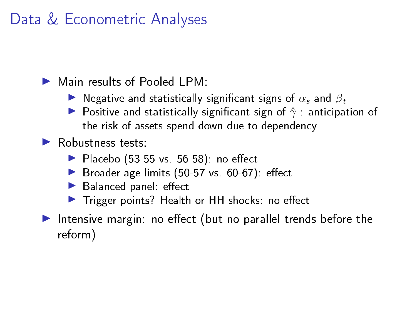$\blacktriangleright$  Main results of Pooled LPM:

- **I** Negative and statistically significant signs of  $\alpha_s$  and  $\beta_t$
- **P** Positive and statistically significant sign of  $\hat{\gamma}$  : anticipation of the risk of assets spend down due to dependency

### $\blacktriangleright$  Robustness tests:

- $\blacktriangleright$  Placebo (53-55 vs. 56-58): no effect
- $\triangleright$  Broader age limits (50-57 vs. 60-67): effect
- $\blacktriangleright$  Balanced panel: effect
- $\blacktriangleright$  Trigger points? Health or HH shocks: no effect
- Intensive margin: no effect (but no parallel trends before the reform)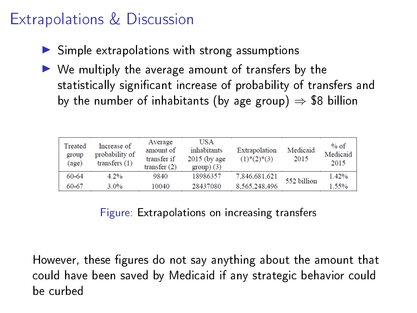## Extrapolations & Discussion

- $\triangleright$  Simple extrapolations with strong assumptions
- $\triangleright$  We multiply the average amount of transfers by the statistically significant increase of probability of transfers and by the number of inhabitants (by age group)  $\Rightarrow$  \$8 billion

| Treated<br>group<br>(age) | Increase of<br>probability of<br>transfers $(1)$ | Average<br>amount of<br>transfer if<br>transfer $(2)$ | <b>USA</b><br>inhabitants<br>$2015$ (by age)<br>$group)$ (3) | Extrapolation<br>$(1)$ <sup>*</sup> $(2)$ <sup>*</sup> $(3)$ | Medicaid<br>2015 | $%$ of<br>Medicaid<br>2015 |
|---------------------------|--------------------------------------------------|-------------------------------------------------------|--------------------------------------------------------------|--------------------------------------------------------------|------------------|----------------------------|
| 60-64                     | 4.2%                                             | 9840                                                  | 18986357                                                     | 7,846,681,621                                                | 552 billion      | 1.42%                      |
| 60-67                     | $3.0\%$                                          | 10040                                                 | 28437080                                                     | 8.565.248.496                                                |                  | 1.55%                      |

Figure: Extrapolations on increasing transfers

However, these figures do not say anything about the amount that could have been saved by Medicaid if any strategic behavior could be curbed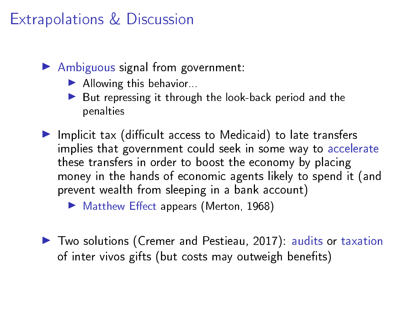## Extrapolations & Discussion

- $\blacktriangleright$  Ambiguous signal from government:
	- $\blacktriangleright$  Allowing this behavior...
	- $\blacktriangleright$  But repressing it through the look-back period and the penalties
- $\blacktriangleright$  Implicit tax (difficult access to Medicaid) to late transfers implies that government could seek in some way to accelerate these transfers in order to boost the economy by placing money in the hands of economic agents likely to spend it (and prevent wealth from sleeping in a bank account)
	- $\blacktriangleright$  Matthew Effect appears (Merton, 1968)
- ▶ Two solutions (Cremer and Pestieau, 2017): audits or taxation of inter vivos gifts (but costs may outweigh benefits)